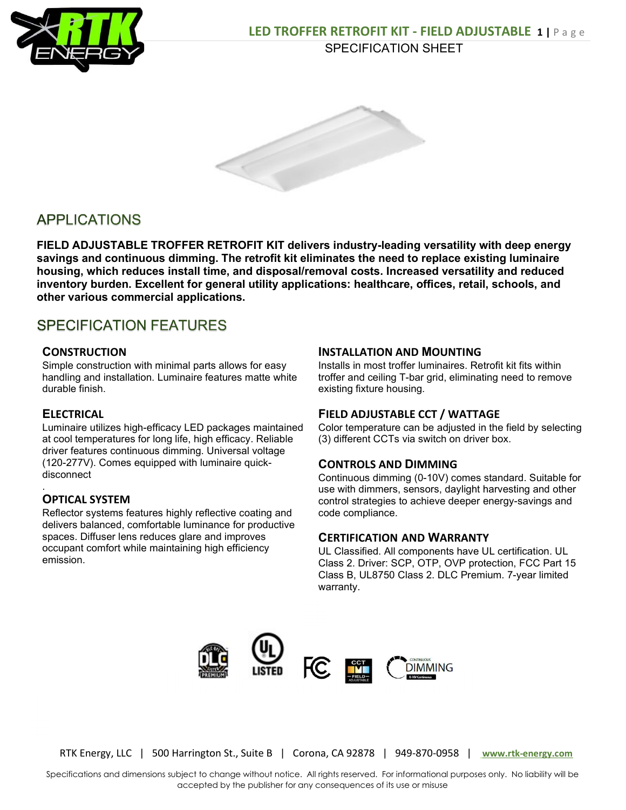



# **APPLICATIONS**

FIELD ADJUSTABLE TROFFER RETROFIT KIT delivers industry-leading versatility with deep energy savings and continuous dimming. The retrofit kit eliminates the need to replace existing luminaire housing, which reduces install time, and disposal/removal costs. Increased versatility and reduced inventory burden. Excellent for general utility applications: healthcare, offices, retail, schools, and other various commercial applications.

# **SPECIFICATION FEATURES**

## **CONSTRUCTION**

Simple construction with minimal parts allows for easy handling and installation. Luminaire features matte white durable finish.

## **ELECTRICAL**

.

Luminaire utilizes high-efficacy LED packages maintained at cool temperatures for long life, high efficacy. Reliable driver features continuous dimming. Universal voltage (120-277V). Comes equipped with luminaire quickdisconnect

## OPTICAL SYSTEM

Reflector systems features highly reflective coating and delivers balanced, comfortable luminance for productive spaces. Diffuser lens reduces glare and improves occupant comfort while maintaining high efficiency emission.

#### INSTALLATION AND MOUNTING

Installs in most troffer luminaires. Retrofit kit fits within troffer and ceiling T-bar grid, eliminating need to remove existing fixture housing.

#### FIELD ADJUSTABLE CCT / WATTAGE

Color temperature can be adjusted in the field by selecting (3) different CCTs via switch on driver box.

#### CONTROLS AND DIMMING

Continuous dimming (0-10V) comes standard. Suitable for use with dimmers, sensors, daylight harvesting and other control strategies to achieve deeper energy-savings and code compliance.

#### CERTIFICATION AND WARRANTY

UL Classified. All components have UL certification. UL Class 2. Driver: SCP, OTP, OVP protection, FCC Part 15 Class B, UL8750 Class 2. DLC Premium. 7-year limited warranty.



RTK Energy, LLC | 500 Harrington St., Suite B | Corona, CA 92878 | 949-870-0958 | www.rtk-energy.com

Specifications and dimensions subject to change without notice. All rights reserved. For informational purposes only. No liability will be accepted by the publisher for any consequences of its use or misuse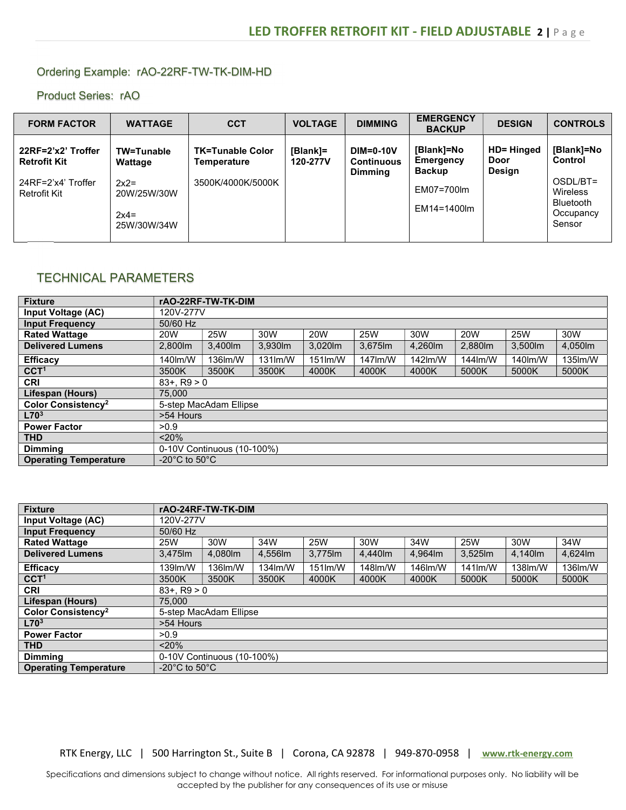#### Ordering Example: rAO-22RF-TW-TK-DIM-HD

Product Series: rAO

| <b>FORM FACTOR</b>                                                                     | <b>WATTAGE</b>                                                          | <b>CCT</b>                                                  | <b>VOLTAGE</b>       | <b>DIMMING</b>                                          | <b>EMERGENCY</b><br><b>BACKUP</b>                                     | <b>DESIGN</b>                              | <b>CONTROLS</b>                                                                          |
|----------------------------------------------------------------------------------------|-------------------------------------------------------------------------|-------------------------------------------------------------|----------------------|---------------------------------------------------------|-----------------------------------------------------------------------|--------------------------------------------|------------------------------------------------------------------------------------------|
| 22RF=2'x2' Troffer<br><b>Retrofit Kit</b><br>24RF=2'x4' Troffer<br><b>Retrofit Kit</b> | TW=Tunable<br>Wattage<br>$2x2=$<br>20W/25W/30W<br>$2x4=$<br>25W/30W/34W | <b>TK=Tunable Color</b><br>Temperature<br>3500K/4000K/5000K | [Blank]=<br>120-277V | <b>DIM=0-10V</b><br><b>Continuous</b><br><b>Dimming</b> | [Blank]=No<br>Emergency<br><b>Backup</b><br>EM07=700lm<br>EM14=1400lm | <b>HD= Hinged</b><br>Door<br><b>Design</b> | [Blank]=No<br>Control<br>OSDL/BT=<br>Wireless<br><b>Bluetooth</b><br>Occupancy<br>Sensor |
|                                                                                        |                                                                         |                                                             |                      |                                                         |                                                                       |                                            |                                                                                          |

## TECHNICAL PARAMETERS

| <b>Fixture</b>                 | rAO-22RF-TW-TK-DIM                                                                             |          |            |                            |          |         |         |         |         |  |
|--------------------------------|------------------------------------------------------------------------------------------------|----------|------------|----------------------------|----------|---------|---------|---------|---------|--|
| <b>Input Voltage (AC)</b>      | 120V-277V                                                                                      |          |            |                            |          |         |         |         |         |  |
| <b>Input Frequency</b>         | 50/60 Hz                                                                                       |          |            |                            |          |         |         |         |         |  |
| <b>Rated Wattage</b>           | <b>25W</b><br><b>25W</b><br>30W<br><b>20W</b><br>30W<br><b>20W</b><br>25W<br>30W<br><b>20W</b> |          |            |                            |          |         |         |         |         |  |
| <b>Delivered Lumens</b>        | 2.800m                                                                                         | 3.400 lm | 3,930lm    | 3.020lm                    | 3,675 lm | 4,260m  | 2,880m  | 3,500lm | 4,050lm |  |
| <b>Efficacy</b>                | 140lm/W                                                                                        | 136lm/W  | $131$ lm/W | $151$ $\text{Im}/\text{W}$ | 147lm/W  | 142lm/W | 144lm/W | 140lm/W | 135lm/W |  |
| CCT <sup>1</sup>               | 3500K                                                                                          | 3500K    | 3500K      | 4000K                      | 4000K    | 4000K   | 5000K   | 5000K   | 5000K   |  |
| <b>CRI</b>                     | $83 + . R9 > 0$                                                                                |          |            |                            |          |         |         |         |         |  |
| Lifespan (Hours)               | 75,000                                                                                         |          |            |                            |          |         |         |         |         |  |
| Color Consistency <sup>2</sup> | 5-step MacAdam Ellipse                                                                         |          |            |                            |          |         |         |         |         |  |
| L70 <sup>3</sup>               | >54 Hours                                                                                      |          |            |                            |          |         |         |         |         |  |
| <b>Power Factor</b>            | >0.9                                                                                           |          |            |                            |          |         |         |         |         |  |
| <b>THD</b>                     | < 20%                                                                                          |          |            |                            |          |         |         |         |         |  |
| <b>Dimmina</b>                 | 0-10V Continuous (10-100%)                                                                     |          |            |                            |          |         |         |         |         |  |
| <b>Operating Temperature</b>   | -20 $^{\circ}$ C to 50 $^{\circ}$ C                                                            |          |            |                            |          |         |         |         |         |  |

| <b>Fixture</b>                 | rAO-24RF-TW-TK-DIM                                                               |         |         |                            |         |         |            |         |         |  |
|--------------------------------|----------------------------------------------------------------------------------|---------|---------|----------------------------|---------|---------|------------|---------|---------|--|
| Input Voltage (AC)             | 120V-277V                                                                        |         |         |                            |         |         |            |         |         |  |
| <b>Input Frequency</b>         | 50/60 Hz                                                                         |         |         |                            |         |         |            |         |         |  |
| <b>Rated Wattage</b>           | 30W<br>30W<br><b>25W</b><br>34W<br><b>25W</b><br>34W<br>34W<br>30W<br><b>25W</b> |         |         |                            |         |         |            |         |         |  |
| <b>Delivered Lumens</b>        | 3.475 lm                                                                         | 4.080lm | 4,556lm | 3.775lm                    | 4,440lm | 4,964m  | 3,525lm    | 4.140m  | 4,624lm |  |
| <b>Efficacv</b>                | 139m/W                                                                           | 136lm/W | 134lm/W | $151$ $\text{Im}/\text{W}$ | 148lm/W | 146lm/W | $141$ lm/W | 138lm/W | 136lm/W |  |
| CCT <sup>1</sup>               | 3500K                                                                            | 3500K   | 3500K   | 4000K                      | 4000K   | 4000K   | 5000K      | 5000K   | 5000K   |  |
| <b>CRI</b>                     | $83 + . R9 > 0$                                                                  |         |         |                            |         |         |            |         |         |  |
| Lifespan (Hours)               | 75,000                                                                           |         |         |                            |         |         |            |         |         |  |
| Color Consistency <sup>2</sup> | 5-step MacAdam Ellipse                                                           |         |         |                            |         |         |            |         |         |  |
| L70 <sup>3</sup>               | >54 Hours                                                                        |         |         |                            |         |         |            |         |         |  |
| <b>Power Factor</b>            | >0.9                                                                             |         |         |                            |         |         |            |         |         |  |
| <b>THD</b>                     | $< 20\%$                                                                         |         |         |                            |         |         |            |         |         |  |
| <b>Dimming</b>                 | 0-10V Continuous (10-100%)                                                       |         |         |                            |         |         |            |         |         |  |
| <b>Operating Temperature</b>   | -20 $^{\circ}$ C to 50 $^{\circ}$ C                                              |         |         |                            |         |         |            |         |         |  |

RTK Energy, LLC | 500 Harrington St., Suite B | Corona, CA 92878 | 949-870-0958 | www.rtk-energy.com

Specifications and dimensions subject to change without notice. All rights reserved. For informational purposes only. No liability will be accepted by the publisher for any consequences of its use or misuse